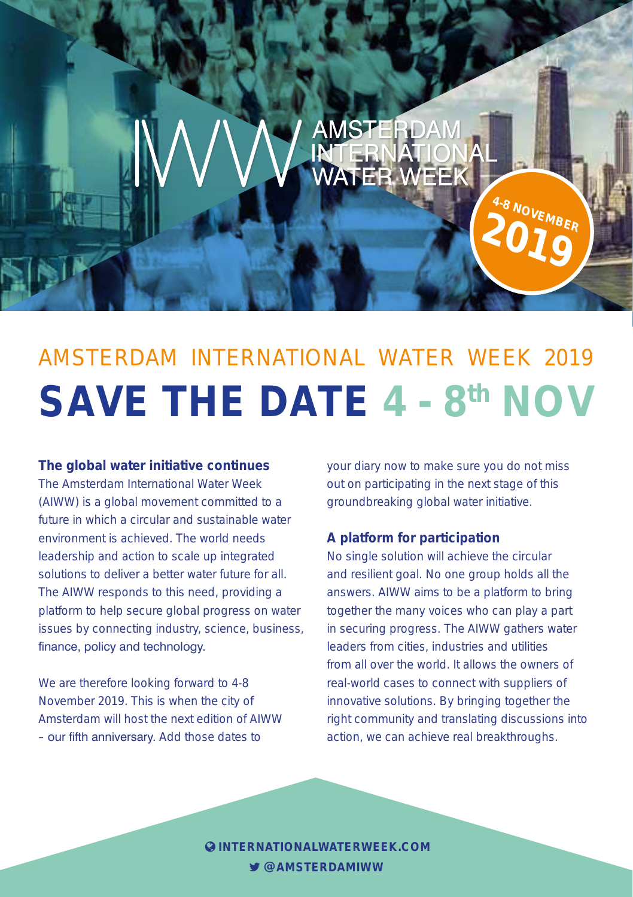# AMSTERDAM INTERNATIONAL WATER WEEK 2019 **SAVE THE DATE 4 - 8th NOV**

**AMSTERDA** 

**ATER WEEK** 

#### **The global water initiative continues**

The Amsterdam International Water Week (AIWW) is a global movement committed to a future in which a circular and sustainable water environment is achieved. The world needs leadership and action to scale up integrated solutions to deliver a better water future for all. The AIWW responds to this need, providing a platform to help secure global progress on water issues by connecting industry, science, business, finance, policy and technology.

We are therefore looking forward to 4-8 November 2019. This is when the city of Amsterdam will host the next edition of AIWW – our fifth anniversary. Add those dates to

your diary now to make sure you do not miss out on participating in the next stage of this groundbreaking global water initiative.

**4-8 NOVEMBER 2019**

#### **A platform for participation**

No single solution will achieve the circular and resilient goal. No one group holds all the answers. AIWW aims to be a platform to bring together the many voices who can play a part in securing progress. The AIWW gathers water leaders from cities, industries and utilities from all over the world. It allows the owners of real-world cases to connect with suppliers of innovative solutions. By bringing together the right community and translating discussions into action, we can achieve real breakthroughs.

**QUINTERNATIONALWATERWEEK.COM @AMSTERDAMIWW**